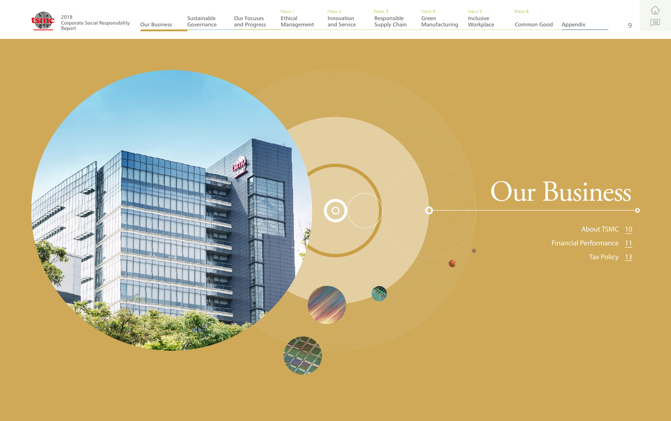

 $\mathcal{L}$ 

 $\boxed{\equiv}$ 

- -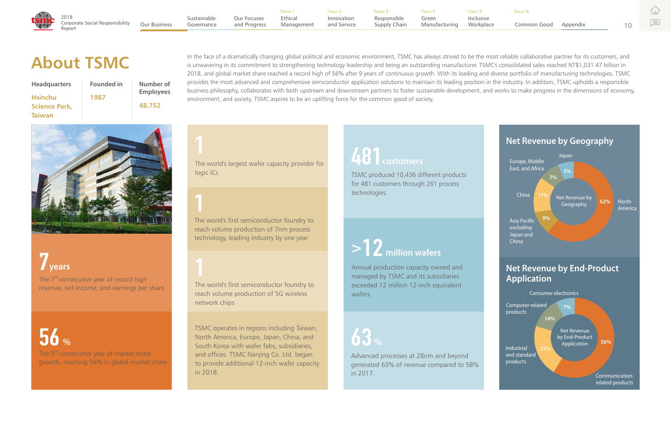In the face of a dramatically changing global political and economic environment, TSMC has always strived to be the most reliable collaborative partner for its customers, and<br>is unwavering in its commitment to strengthenin 2018, and global market share reached a record high of 56% after 9 years of continuous growth. With its leading and diverse portfolio of manufacturing technologies, TSMC provides the most advanced and comprehensive semiconductor application solutions to maintain its leading position in the industry. In addition, TSMC upholds a responsible business philosophy, collaborates with both upstream and downstream partners to foster sustainable development, and works to make progress in the dimensions of economy, environment, and society. TSMC aspires to be an uplifting force for the common good of society.



The  $7<sup>th</sup>$  consecutive year of record high revenue, net income, and earnings per share

The  $9<sup>th</sup>$  consecutive year of market share growth, reaching 56% in global market share

**7years**

**56 %**

# **1**

The world's first semiconductor foundry to reach volume production of 7nm process technology, leading industry by one year

### **<sup>&</sup>gt;12 million wafers**

Annual production capacity owned and managed by TSMC and its subsidiaries exceeded 12 million 12-inch equivalent wafers.

**1**

The world's largest wafer capacity provider for logic ICs

# **1**

The world's first semiconductor foundry to reach volume production of 5G wireless network chips

## **63 %**

Advanced processes at 28nm and beyond generated 63% of revenue compared to 58% in 2017.

## **481customers**

TSMC produced 10,436 different products for 481 customers through 261 process technologies.

TSMC operates in regions including Taiwan, North America, Europe, Japan, China, and South Korea with wafer fabs, subsidiaries, and offices. TSMC Nanjing Co. Ltd. began to provide additional 12-inch wafer capacity in 2018.

| <b>Headquarters</b>  | <b>Founded in</b> | Number of<br><b>Employees</b> |
|----------------------|-------------------|-------------------------------|
| <b>Hsinchu</b>       | 1987              |                               |
| <b>Science Park,</b> |                   | 48,752                        |
| <b>Taiwan</b>        |                   |                               |



10

巨

|                                                                                                                                                                                                                                  |  | Focus 1 | <b>Execute 2</b> Focus 2 | Focus 3 Focus 4 | <b>Encus</b> 5 |                      |  |
|----------------------------------------------------------------------------------------------------------------------------------------------------------------------------------------------------------------------------------|--|---------|--------------------------|-----------------|----------------|----------------------|--|
| Example Focus Procus Procus Procus Procus Procus Procus Procus Procus Procus Procus Procus Procus Procus Procus<br>Corporate Social Responsibility Our Business Governance and Progress Management and Service Supply Chain Manu |  |         |                          |                 |                | Common Good Appendix |  |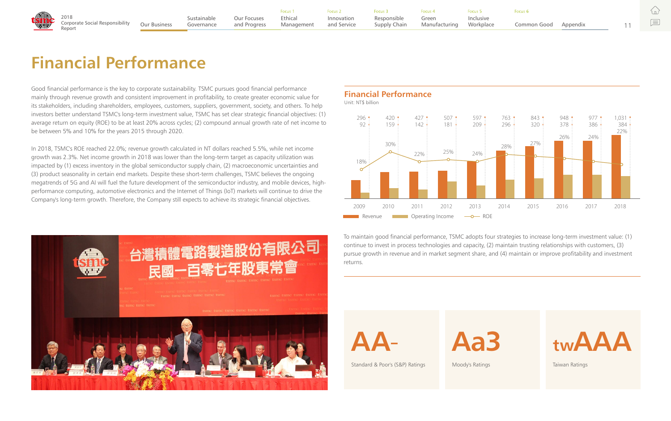### **Financial Performance**

**Aa3**

Moody's Ratings





íпì

巨



Standard & Poor's (S&P) Ratings

### ace Common Good

### **Financial Performance**

Unit: NT\$ billion

Good financial performance is the key to corporate sustainability. TSMC pursues good financial performance mainly through revenue growth and consistent improvement in profitability, to create greater economic value for its stakeholders, including shareholders, employees, customers, suppliers, government, society, and others. To help investors better understand TSMC's long-term investment value, TSMC has set clear strategic financial objectives: (1) average return on equity (ROE) to be at least 20% across cycles; (2) compound annual growth rate of net income to be between 5% and 10% for the years 2015 through 2020.



In 2018, TSMC's ROE reached 22.0%; revenue growth calculated in NT dollars reached 5.5%, while net income growth was 2.3%. Net income growth in 2018 was lower than the long-term target as capacity utilization was impacted by (1) excess inventory in the global semiconductor supply chain, (2) macroeconomic uncertainties and (3) product seasonality in certain end markets. Despite these short-term challenges, TSMC believes the ongoing megatrends of 5G and AI will fuel the future development of the semiconductor industry, and mobile devices, highperformance computing, automotive electronics and the Internet of Things (IoT) markets will continue to drive the Company's long-term growth. Therefore, the Company still expects to achieve its strategic financial objectives.

> To maintain good financial performance, TSMC adopts four strategies to increase long-term investment value: (1) continue to invest in process technologies and capacity, (2) maintain trusting relationships with customers, (3) pursue growth in revenue and in market segment share, and (4) maintain or improve profitability and investment returns.



11

|                                                                                                                                                                                                                                  |  |  | Focus 3 | Focus 4 |                      |  |
|----------------------------------------------------------------------------------------------------------------------------------------------------------------------------------------------------------------------------------|--|--|---------|---------|----------------------|--|
| and Procus Cocos and Procus Cocos Cocos Pocus Procus Procus Procus Procus Procus Procus Procus Procus Procus P<br>Corporate Social Responsibility Our Business Governance and Progress Management and Service Supply Chain Manuf |  |  |         |         | Common Good Appendix |  |
|                                                                                                                                                                                                                                  |  |  |         |         |                      |  |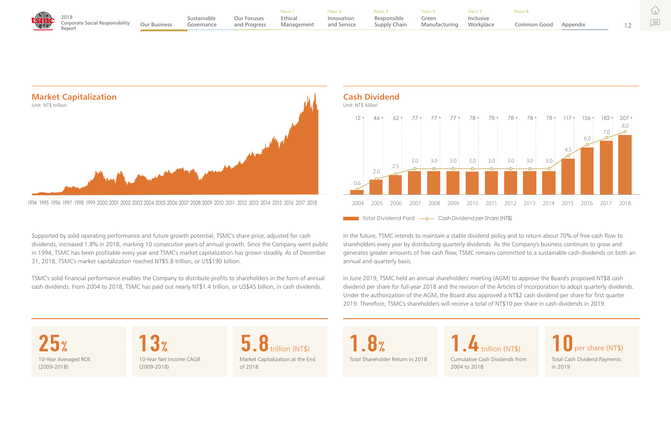Supported by solid operating performance and future growth potential, TSMC's share price, adjusted for cash dividends, increased 1.8% in 2018, marking 10 consecutive years of annual growth. Since the Company went public in 1994, TSMC has been profitable every year and TSMC's market capitalization has grown steadily. As of December 31, 2018, TSMC's market capitalization reached NT\$5.8 trillion, or US\$190 billion.

TSMC's solid financial performance enables the Company to distribute profits to shareholders in the form of annual cash dividends. From 2004 to 2018, TSMC has paid out nearly NT\$1.4 trillion, or US\$45 billion, in cash dividends.

**Market Capitalization** Unit: NT\$ trillion



**5.8**trillion (NT\$) Market Capitalization at the End of 2018

**25%** 10-Year Averaged ROE (2009-2018)

10-Year Net Income CAGR (2009-2018) **13%**

Cumulative Cash Dividends from 2004 to 2018 **1.4**trillion (NT\$)

### Common Good

Total Cash Dividend Payments in 2019 **10**per share (NT\$)

Total Shareholder Return in 2018

**1.8%**

In the future, TSMC intends to maintain a stable dividend policy and to return about 70% of free cash flow to shareholders every year by distributing quarterly dividends. As the Company's business continues to grow and generates greater amounts of free cash flow, TSMC remains committed to a sustainable cash dividends on both an annual and quarterly basis.

In June 2019, TSMC held an annual shareholders' meeting (AGM) to approve the Board's proposed NT\$8 cash dividend per share for full-year 2018 and the revision of the Articles of Incorporation to adopt quarterly dividends. Under the authorization of the AGM, the Board also approved a NT\$2 cash dividend per share for first quarter 2019. Therefore, TSMC's shareholders will receive a total of NT\$10 per share in cash dividends in 2019.



|                                                                                                                                                                                                                                |  | Focus 1 | Focus 2 | Focus 3 | Focus 4 |                      |  |
|--------------------------------------------------------------------------------------------------------------------------------------------------------------------------------------------------------------------------------|--|---------|---------|---------|---------|----------------------|--|
| and Procus Cocos and Procus Cocos and Procus Cocos 2 Cocos Procus Procus Procus Procus Procus Procus Procus Procus Procus Procus Procus Procus Procus Procus Procus Procus Procus Procus Procus Procus Procus Procus Procus Pr |  |         |         |         |         | Common Good Appendix |  |